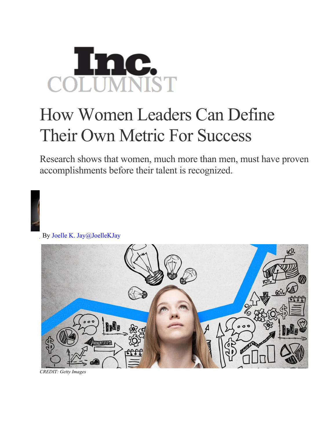## **AC.**<br>MNIST COLUI

## How Women Leaders Can Define Their Own Metric For Success

Research shows that women, much more than men, must have proven accomplishments before their talent is recognized.

By Joelle K. Jay@JoelleKJay



*CREDIT: Getty Images*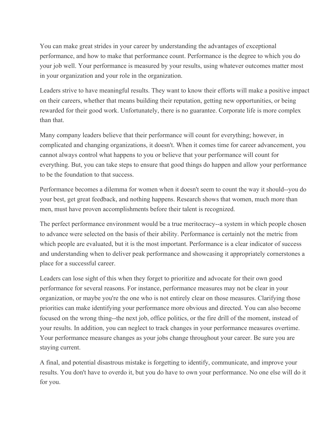You can make great strides in your career by understanding the advantages of exceptional performance, and how to make that performance count. Performance is the degree to which you do your job well. Your performance is measured by your results, using whatever outcomes matter most in your organization and your role in the organization.

Leaders strive to have meaningful results. They want to know their efforts will make a positive impact on their careers, whether that means building their reputation, getting new opportunities, or being rewarded for their good work. Unfortunately, there is no guarantee. Corporate life is more complex than that.

Many company leaders believe that their performance will count for everything; however, in complicated and changing organizations, it doesn't. When it comes time for career advancement, you cannot always control what happens to you or believe that your performance will count for everything. But, you can take steps to ensure that good things do happen and allow your performance to be the foundation to that success.

Performance becomes a dilemma for women when it doesn't seem to count the way it should--you do your best, get great feedback, and nothing happens. Research shows that women, much more than men, must have proven accomplishments before their talent is recognized.

The perfect performance environment would be a true meritocracy--a system in which people chosen to advance were selected on the basis of their ability. Performance is certainly not the metric from which people are evaluated, but it is the most important. Performance is a clear indicator of success and understanding when to deliver peak performance and showcasing it appropriately cornerstones a place for a successful career.

Leaders can lose sight of this when they forget to prioritize and advocate for their own good performance for several reasons. For instance, performance measures may not be clear in your organization, or maybe you're the one who is not entirely clear on those measures. Clarifying those priorities can make identifying your performance more obvious and directed. You can also become focused on the wrong thing--the next job, office politics, or the fire drill of the moment, instead of your results. In addition, you can neglect to track changes in your performance measures overtime. Your performance measure changes as your jobs change throughout your career. Be sure you are staying current.

A final, and potential disastrous mistake is forgetting to identify, communicate, and improve your results. You don't have to overdo it, but you do have to own your performance. No one else will do it for you.